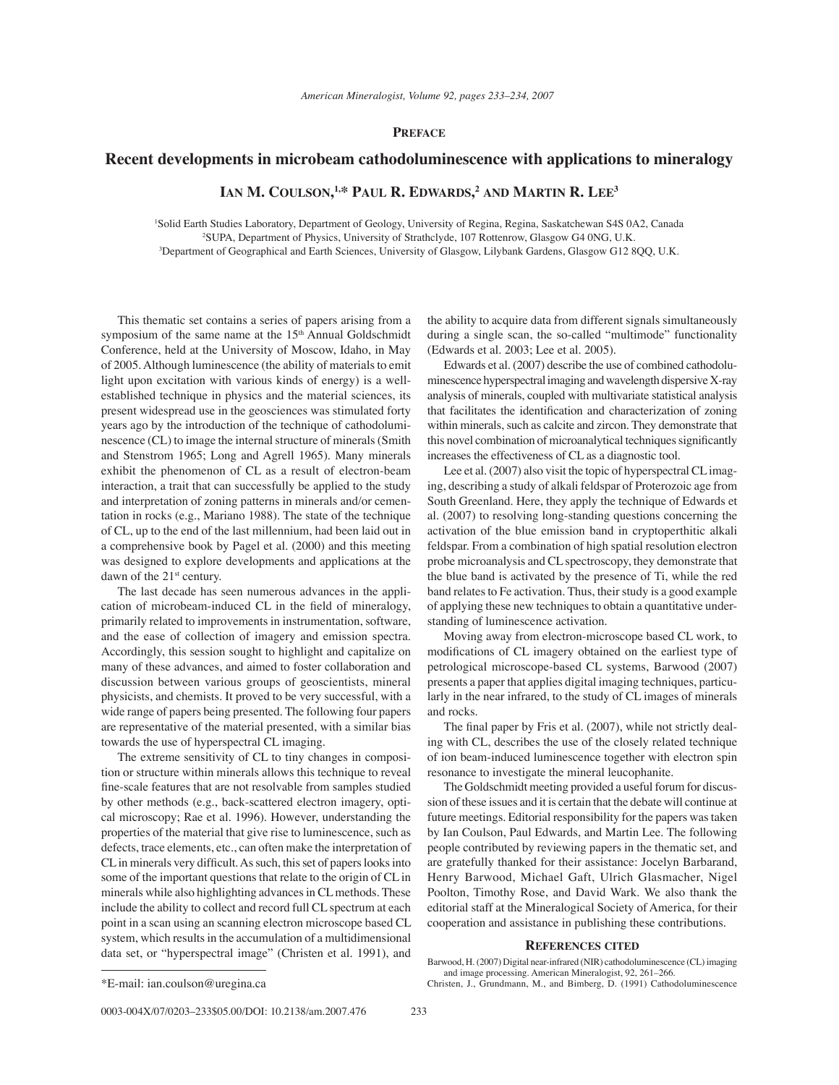## **PREFACE**

## **Recent developments in microbeam cathodoluminescence with applications to mineralogy**

**IAN M. COULSON, 1,\* PAUL R. EDWARDS, <sup>2</sup> AND MARTIN R. LEE3**

1 Solid Earth Studies Laboratory, Department of Geology, University of Regina, Regina, Saskatchewan S4S 0A2, Canada 2 SUPA, Department of Physics, University of Strathclyde, 107 Rottenrow, Glasgow G4 0NG, U.K. 3 Department of Geographical and Earth Sciences, University of Glasgow, Lilybank Gardens, Glasgow G12 8QQ, U.K.

This thematic set contains a series of papers arising from a symposium of the same name at the 15<sup>th</sup> Annual Goldschmidt Conference, held at the University of Moscow, Idaho, in May of 2005. Although luminescence (the ability of materials to emit light upon excitation with various kinds of energy) is a wellestablished technique in physics and the material sciences, its present widespread use in the geosciences was stimulated forty years ago by the introduction of the technique of cathodoluminescence (CL) to image the internal structure of minerals (Smith and Stenstrom 1965; Long and Agrell 1965). Many minerals exhibit the phenomenon of CL as a result of electron-beam interaction, a trait that can successfully be applied to the study and interpretation of zoning patterns in minerals and/or cementation in rocks (e.g., Mariano 1988). The state of the technique of CL, up to the end of the last millennium, had been laid out in a comprehensive book by Pagel et al. (2000) and this meeting was designed to explore developments and applications at the dawn of the 21<sup>st</sup> century.

The last decade has seen numerous advances in the application of microbeam-induced CL in the field of mineralogy, primarily related to improvements in instrumentation, software, and the ease of collection of imagery and emission spectra. Accordingly, this session sought to highlight and capitalize on many of these advances, and aimed to foster collaboration and discussion between various groups of geoscientists, mineral physicists, and chemists. It proved to be very successful, with a wide range of papers being presented. The following four papers are representative of the material presented, with a similar bias towards the use of hyperspectral CL imaging.

The extreme sensitivity of CL to tiny changes in composition or structure within minerals allows this technique to reveal fine-scale features that are not resolvable from samples studied by other methods (e.g., back-scattered electron imagery, optical microscopy; Rae et al. 1996). However, understanding the properties of the material that give rise to luminescence, such as defects, trace elements, etc., can often make the interpretation of CL in minerals very difficult. As such, this set of papers looks into some of the important questions that relate to the origin of CL in minerals while also highlighting advances in CL methods. These include the ability to collect and record full CL spectrum at each point in a scan using an scanning electron microscope based CL system, which results in the accumulation of a multidimensional data set, or "hyperspectral image" (Christen et al. 1991), and

the ability to acquire data from different signals simultaneously during a single scan, the so-called "multimode" functionality (Edwards et al. 2003; Lee et al. 2005).

Edwards et al. (2007) describe the use of combined cathodoluminescence hyperspectral imaging and wavelength dispersive X-ray analysis of minerals, coupled with multivariate statistical analysis that facilitates the identification and characterization of zoning within minerals, such as calcite and zircon. They demonstrate that this novel combination of microanalytical techniques significantly increases the effectiveness of CL as a diagnostic tool.

Lee et al. (2007) also visit the topic of hyperspectral CL imaging, describing a study of alkali feldspar of Proterozoic age from South Greenland. Here, they apply the technique of Edwards et al. (2007) to resolving long-standing questions concerning the activation of the blue emission band in cryptoperthitic alkali feldspar. From a combination of high spatial resolution electron probe microanalysis and CL spectroscopy, they demonstrate that the blue band is activated by the presence of Ti, while the red band relates to Fe activation. Thus, their study is a good example of applying these new techniques to obtain a quantitative understanding of luminescence activation.

Moving away from electron-microscope based CL work, to modifications of CL imagery obtained on the earliest type of petrological microscope-based CL systems, Barwood (2007) presents a paper that applies digital imaging techniques, particularly in the near infrared, to the study of CL images of minerals and rocks.

The final paper by Fris et al. (2007), while not strictly dealing with CL, describes the use of the closely related technique of ion beam-induced luminescence together with electron spin resonance to investigate the mineral leucophanite.

The Goldschmidt meeting provided a useful forum for discussion of these issues and it is certain that the debate will continue at future meetings. Editorial responsibility for the papers was taken by Ian Coulson, Paul Edwards, and Martin Lee. The following people contributed by reviewing papers in the thematic set, and are gratefully thanked for their assistance: Jocelyn Barbarand, Henry Barwood, Michael Gaft, Ulrich Glasmacher, Nigel Poolton, Timothy Rose, and David Wark. We also thank the editorial staff at the Mineralogical Society of America, for their cooperation and assistance in publishing these contributions.

## **REFERENCES CITED**

Barwood, H. (2007) Digital near-infrared (NIR) cathodoluminescence (CL) imaging and image processing. American Mineralogist, 92, 261-266. \*E-mail: ian.coulson@uregina.ca Christen, J., Grundmann, M., and Bimberg, D. (1991) Cathodoluminescence